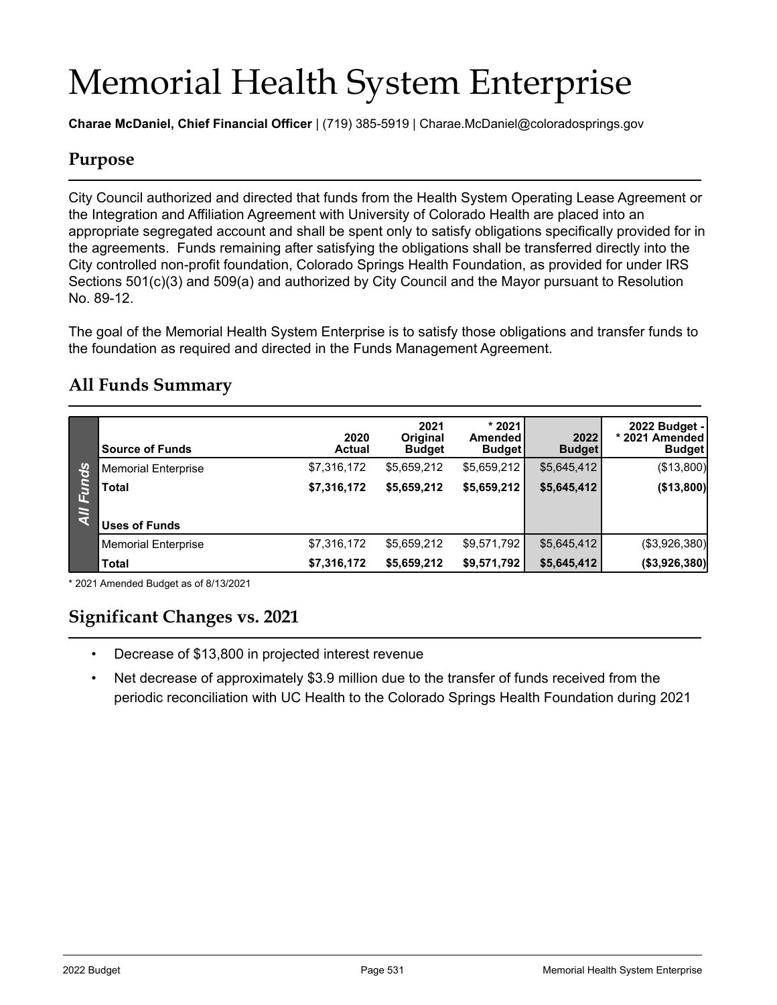# Memorial Health System Enterprise

**Charae McDaniel, Chief Financial Officer** | (719) 385-5919 | Charae.McDaniel@coloradosprings.gov

### **Purpose**

City Council authorized and directed that funds from the Health System Operating Lease Agreement or the Integration and Affiliation Agreement with University of Colorado Health are placed into an appropriate segregated account and shall be spent only to satisfy obligations specifically provided for in the agreements. Funds remaining after satisfying the obligations shall be transferred directly into the City controlled non-profit foundation, Colorado Springs Health Foundation, as provided for under IRS Sections 501(c)(3) and 509(a) and authorized by City Council and the Mayor pursuant to Resolution No. 89-12.

The goal of the Memorial Health System Enterprise is to satisfy those obligations and transfer funds to the foundation as required and directed in the Funds Management Agreement.

|             | <b>Source of Funds</b>     | 2020<br><b>Actual</b> | 2021<br><b>Original</b><br><b>Budget</b> | $*2021$<br>Amended<br><b>Budget</b> | 2022<br><b>Budget</b> | 2022 Budget -<br>* 2021 Amended<br><b>Budget</b> |
|-------------|----------------------------|-----------------------|------------------------------------------|-------------------------------------|-----------------------|--------------------------------------------------|
| nds<br>Inds | <b>Memorial Enterprise</b> | \$7,316,172           | \$5,659,212                              | \$5,659,212                         | \$5,645,412           | (\$13,800)                                       |
|             | <b>Total</b>               | \$7,316,172           | \$5,659,212                              | \$5,659,212                         | \$5,645,412           | (\$13,800)                                       |
| G.          | <b>Uses of Funds</b>       |                       |                                          |                                     |                       |                                                  |
|             | <b>Memorial Enterprise</b> | \$7,316,172           | \$5,659,212                              | \$9,571,792                         | \$5,645,412           | (\$3,926,380)                                    |
|             | <b>Total</b>               | \$7,316,172           | \$5,659,212                              | \$9,571,792                         | \$5,645,412           | ( \$3,926,380]                                   |

#### **All Funds Summary**

\* 2021 Amended Budget as of 8/13/2021

#### **Significant Changes vs. 2021**

- Decrease of \$13,800 in projected interest revenue
- Net decrease of approximately \$3.9 million due to the transfer of funds received from the periodic reconciliation with UC Health to the Colorado Springs Health Foundation during 2021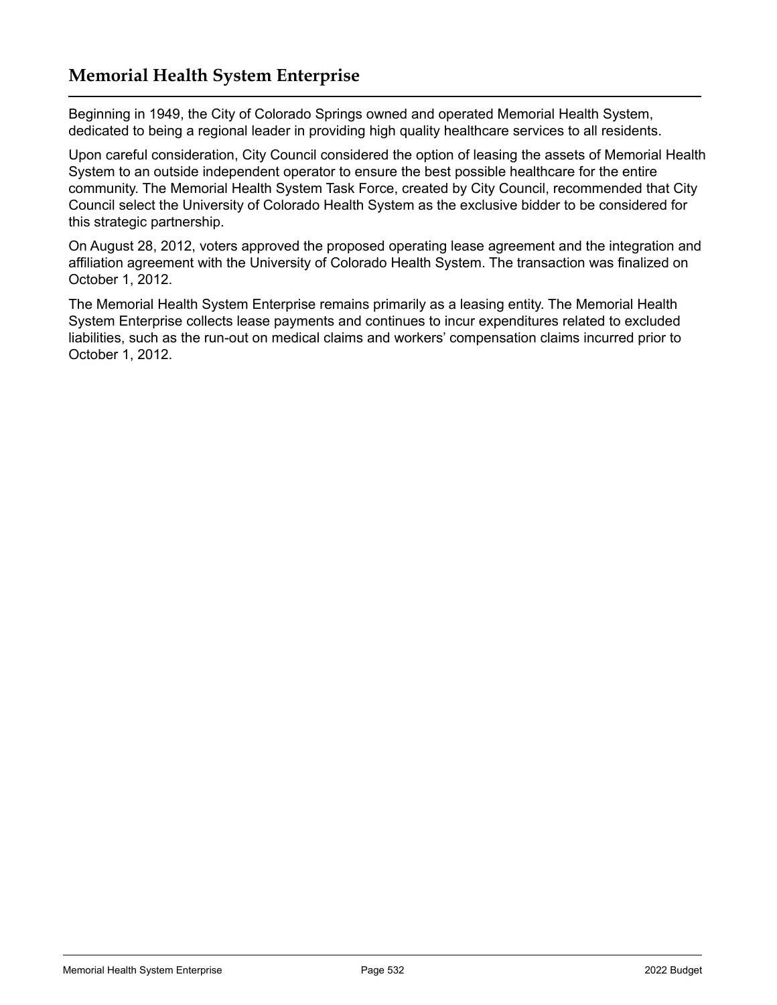### **Memorial Health System Enterprise**

Beginning in 1949, the City of Colorado Springs owned and operated Memorial Health System, dedicated to being a regional leader in providing high quality healthcare services to all residents.

Upon careful consideration, City Council considered the option of leasing the assets of Memorial Health System to an outside independent operator to ensure the best possible healthcare for the entire community. The Memorial Health System Task Force, created by City Council, recommended that City Council select the University of Colorado Health System as the exclusive bidder to be considered for this strategic partnership.

On August 28, 2012, voters approved the proposed operating lease agreement and the integration and affiliation agreement with the University of Colorado Health System. The transaction was finalized on October 1, 2012.

The Memorial Health System Enterprise remains primarily as a leasing entity. The Memorial Health System Enterprise collects lease payments and continues to incur expenditures related to excluded liabilities, such as the run-out on medical claims and workers' compensation claims incurred prior to October 1, 2012.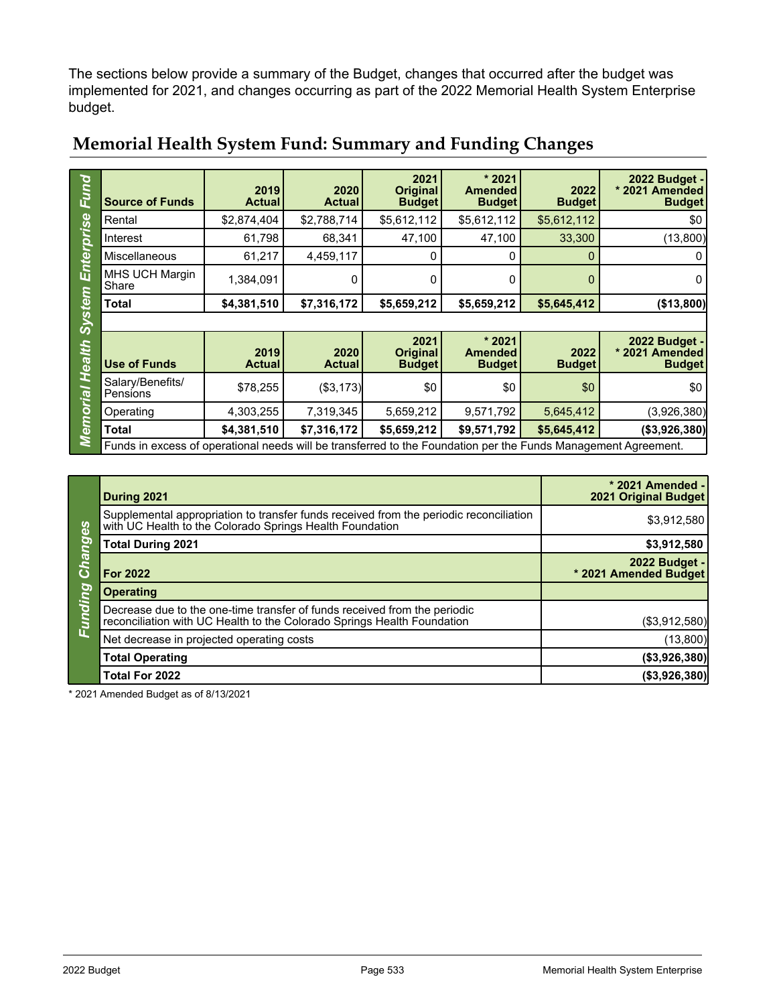The sections below provide a summary of the Budget, changes that occurred after the budget was implemented for 2021, and changes occurring as part of the 2022 Memorial Health System Enterprise budget.

| Fund                                                          |                              | 2019                  | 2020                  | 2021<br><b>Original</b>                  | $*2021$<br><b>Amended</b>                 | 2022                  | 2022 Budget -<br>* 2021 Amended                  |  |
|---------------------------------------------------------------|------------------------------|-----------------------|-----------------------|------------------------------------------|-------------------------------------------|-----------------------|--------------------------------------------------|--|
|                                                               | <b>Source of Funds</b>       | <b>Actual</b>         | <b>Actual</b>         | <b>Budget</b>                            | <b>Budget</b>                             | <b>Budget</b>         | <b>Budget</b>                                    |  |
| ധ<br>ທັ<br>O<br>ய்<br><b>Stel</b><br>$\bar{\bm{\omega}}$<br>4 | Rental                       | \$2,874,404           | \$2,788,714           | \$5,612,112                              | \$5,612,112                               | \$5,612,112           | \$0                                              |  |
|                                                               | Interest                     | 61,798                | 68,341                | 47,100                                   | 47,100                                    | 33,300                | (13,800)                                         |  |
|                                                               | Miscellaneous                | 61,217                | 4,459,117             | 0                                        | 0                                         |                       |                                                  |  |
|                                                               | MHS UCH Margin<br>Share      | 1,384,091             | 0                     | 0                                        | 0                                         | 0                     | 0                                                |  |
|                                                               | <b>Total</b>                 | \$4,381,510           | \$7,316,172           | \$5,659,212                              | \$5,659,212                               | \$5,645,412           | ( \$13,800]                                      |  |
|                                                               |                              |                       |                       |                                          |                                           |                       |                                                  |  |
|                                                               |                              |                       |                       |                                          |                                           |                       |                                                  |  |
| ea                                                            | <b>Use of Funds</b>          | 2019<br><b>Actual</b> | 2020<br><b>Actual</b> | 2021<br><b>Original</b><br><b>Budget</b> | * 2021<br><b>Amended</b><br><b>Budget</b> | 2022<br><b>Budget</b> | 2022 Budget -<br>* 2021 Amended<br><b>Budget</b> |  |
|                                                               | Salary/Benefits/<br>Pensions | \$78,255              | (\$3,173)             | \$0                                      | \$0                                       | \$0                   | \$0                                              |  |
| <b><u>pi</u></b><br>O                                         | Operating                    | 4,303,255             | 7,319,345             | 5,659,212                                | 9,571,792                                 | 5,645,412             | (3,926,380)                                      |  |
| $\mathbf 0$                                                   | Total                        | \$4,381,510           | \$7,316,172           | \$5,659,212                              | \$9,571,792                               | \$5,645,412           | ( \$3,926,380]                                   |  |

## **Memorial Health System Fund: Summary and Funding Changes**

|                                                     | During 2021                                                                                                                                          | * 2021 Amended -<br><b>2021 Original Budget</b> |
|-----------------------------------------------------|------------------------------------------------------------------------------------------------------------------------------------------------------|-------------------------------------------------|
| <b>Ranges</b><br>$\overline{\mathbf{C}}$<br>Eunding | Supplemental appropriation to transfer funds received from the periodic reconciliation<br>with UC Health to the Colorado Springs Health Foundation   | \$3,912,580                                     |
|                                                     | <b>Total During 2021</b>                                                                                                                             | \$3,912,580                                     |
|                                                     | <b>For 2022</b>                                                                                                                                      | 2022 Budget -<br>* 2021 Amended Budget          |
|                                                     | <b>Operating</b>                                                                                                                                     |                                                 |
|                                                     | Decrease due to the one-time transfer of funds received from the periodic<br>reconciliation with UC Health to the Colorado Springs Health Foundation | (\$3,912,580)                                   |
|                                                     | Net decrease in projected operating costs                                                                                                            | (13,800)                                        |
|                                                     | <b>Total Operating</b>                                                                                                                               | (\$3,926,380)                                   |
|                                                     | Total For 2022                                                                                                                                       | ( \$3,926,380]                                  |

\* 2021 Amended Budget as of 8/13/2021